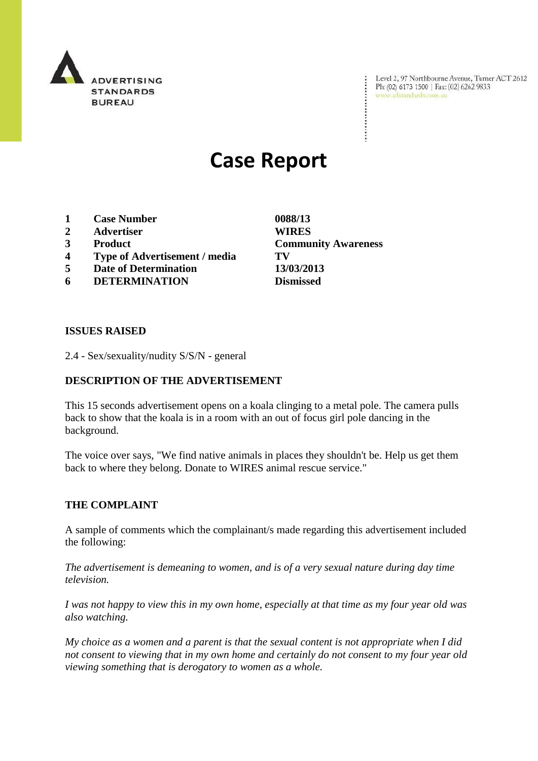

Level 2, 97 Northbourne Avenue, Turner ACT 2612 Ph: (02) 6173 1500 | Fax: (02) 6262 9833 www.adstandards.com.au

# **Case Report**

- **1 Case Number 0088/13**
- **2 Advertiser WIRES**
- **3 Product Community Awareness**
- **4 Type of Advertisement / media TV**
- **5 Date of Determination 13/03/2013**
- **6 DETERMINATION Dismissed**

**ISSUES RAISED**

2.4 - Sex/sexuality/nudity S/S/N - general

## **DESCRIPTION OF THE ADVERTISEMENT**

This 15 seconds advertisement opens on a koala clinging to a metal pole. The camera pulls back to show that the koala is in a room with an out of focus girl pole dancing in the background.

The voice over says, "We find native animals in places they shouldn't be. Help us get them back to where they belong. Donate to WIRES animal rescue service."

#### **THE COMPLAINT**

A sample of comments which the complainant/s made regarding this advertisement included the following:

*The advertisement is demeaning to women, and is of a very sexual nature during day time television.*

*I was not happy to view this in my own home, especially at that time as my four year old was also watching.*

*My choice as a women and a parent is that the sexual content is not appropriate when I did not consent to viewing that in my own home and certainly do not consent to my four year old viewing something that is derogatory to women as a whole.*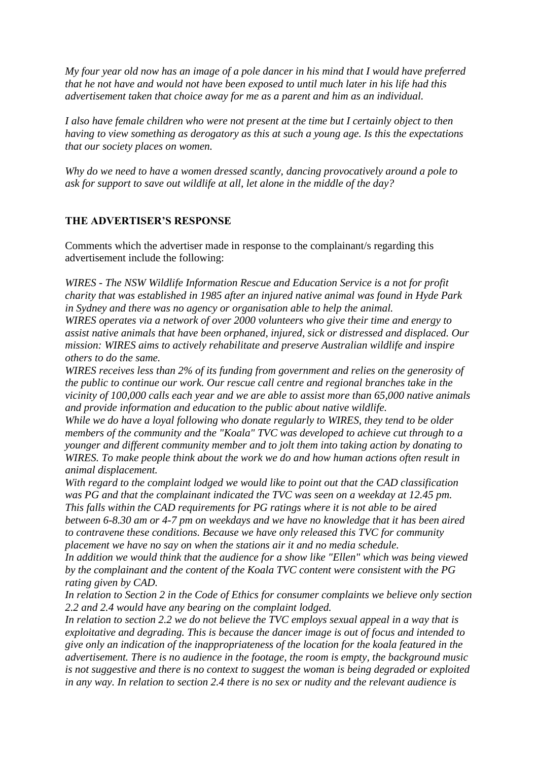*My four year old now has an image of a pole dancer in his mind that I would have preferred that he not have and would not have been exposed to until much later in his life had this advertisement taken that choice away for me as a parent and him as an individual.*

*I also have female children who were not present at the time but I certainly object to then having to view something as derogatory as this at such a young age. Is this the expectations that our society places on women.* 

*Why do we need to have a women dressed scantly, dancing provocatively around a pole to ask for support to save out wildlife at all, let alone in the middle of the day?*

#### **THE ADVERTISER'S RESPONSE**

Comments which the advertiser made in response to the complainant/s regarding this advertisement include the following:

*WIRES - The NSW Wildlife Information Rescue and Education Service is a not for profit charity that was established in 1985 after an injured native animal was found in Hyde Park in Sydney and there was no agency or organisation able to help the animal.*

*WIRES operates via a network of over 2000 volunteers who give their time and energy to assist native animals that have been orphaned, injured, sick or distressed and displaced. Our mission: WIRES aims to actively rehabilitate and preserve Australian wildlife and inspire others to do the same.*

*WIRES receives less than 2% of its funding from government and relies on the generosity of the public to continue our work. Our rescue call centre and regional branches take in the vicinity of 100,000 calls each year and we are able to assist more than 65,000 native animals and provide information and education to the public about native wildlife.*

*While we do have a loyal following who donate regularly to WIRES, they tend to be older members of the community and the "Koala" TVC was developed to achieve cut through to a younger and different community member and to jolt them into taking action by donating to WIRES. To make people think about the work we do and how human actions often result in animal displacement.*

*With regard to the complaint lodged we would like to point out that the CAD classification*  was PG and that the complainant indicated the TVC was seen on a weekday at 12.45 pm. *This falls within the CAD requirements for PG ratings where it is not able to be aired between 6-8.30 am or 4-7 pm on weekdays and we have no knowledge that it has been aired to contravene these conditions. Because we have only released this TVC for community placement we have no say on when the stations air it and no media schedule.*

*In addition we would think that the audience for a show like "Ellen" which was being viewed by the complainant and the content of the Koala TVC content were consistent with the PG rating given by CAD.*

*In relation to Section 2 in the Code of Ethics for consumer complaints we believe only section 2.2 and 2.4 would have any bearing on the complaint lodged.*

*In relation to section 2.2 we do not believe the TVC employs sexual appeal in a way that is exploitative and degrading. This is because the dancer image is out of focus and intended to give only an indication of the inappropriateness of the location for the koala featured in the advertisement. There is no audience in the footage, the room is empty, the background music is not suggestive and there is no context to suggest the woman is being degraded or exploited in any way. In relation to section 2.4 there is no sex or nudity and the relevant audience is*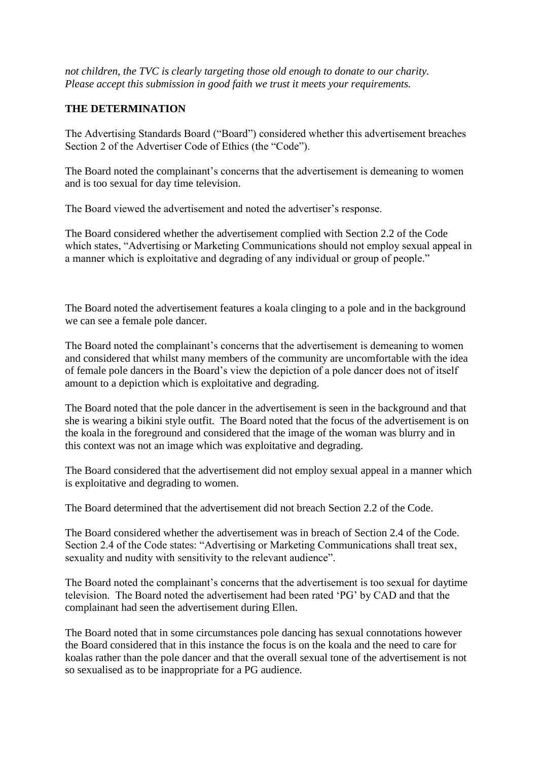*not children, the TVC is clearly targeting those old enough to donate to our charity. Please accept this submission in good faith we trust it meets your requirements.*

### **THE DETERMINATION**

The Advertising Standards Board ("Board") considered whether this advertisement breaches Section 2 of the Advertiser Code of Ethics (the "Code").

The Board noted the complainant's concerns that the advertisement is demeaning to women and is too sexual for day time television.

The Board viewed the advertisement and noted the advertiser"s response.

The Board considered whether the advertisement complied with Section 2.2 of the Code which states, "Advertising or Marketing Communications should not employ sexual appeal in a manner which is exploitative and degrading of any individual or group of people."

The Board noted the advertisement features a koala clinging to a pole and in the background we can see a female pole dancer.

The Board noted the complainant's concerns that the advertisement is demeaning to women and considered that whilst many members of the community are uncomfortable with the idea of female pole dancers in the Board"s view the depiction of a pole dancer does not of itself amount to a depiction which is exploitative and degrading.

The Board noted that the pole dancer in the advertisement is seen in the background and that she is wearing a bikini style outfit. The Board noted that the focus of the advertisement is on the koala in the foreground and considered that the image of the woman was blurry and in this context was not an image which was exploitative and degrading.

The Board considered that the advertisement did not employ sexual appeal in a manner which is exploitative and degrading to women.

The Board determined that the advertisement did not breach Section 2.2 of the Code.

The Board considered whether the advertisement was in breach of Section 2.4 of the Code. Section 2.4 of the Code states: "Advertising or Marketing Communications shall treat sex, sexuality and nudity with sensitivity to the relevant audience".

The Board noted the complainant's concerns that the advertisement is too sexual for daytime television. The Board noted the advertisement had been rated "PG" by CAD and that the complainant had seen the advertisement during Ellen.

The Board noted that in some circumstances pole dancing has sexual connotations however the Board considered that in this instance the focus is on the koala and the need to care for koalas rather than the pole dancer and that the overall sexual tone of the advertisement is not so sexualised as to be inappropriate for a PG audience.